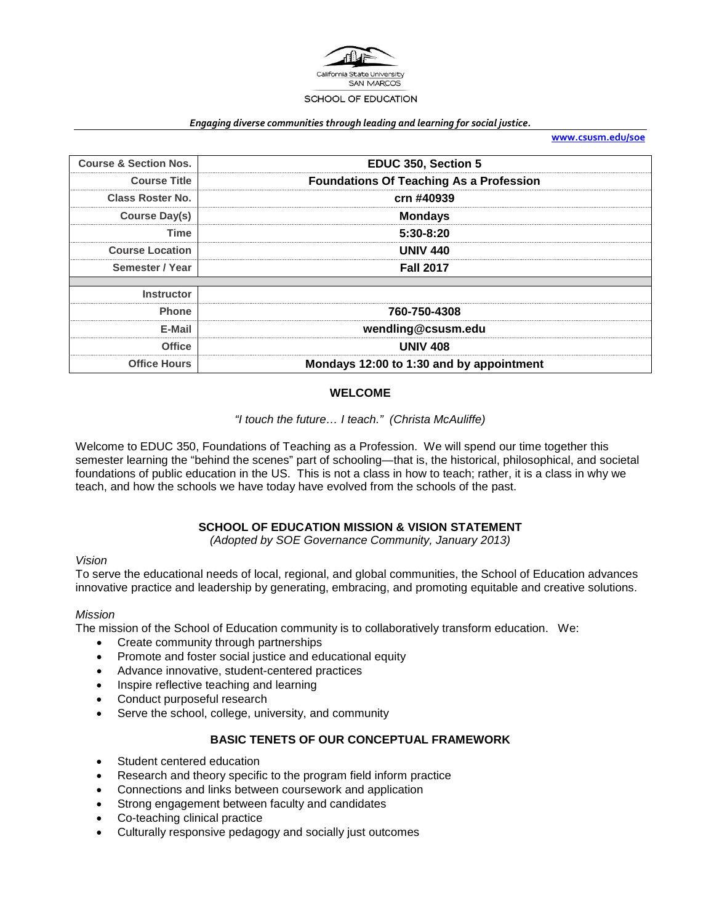

#### *Engaging diverse communities through leading and learning for social justice.*

**[www.csusm.edu/soe](http://www.csusm.edu/soe)**

| <b>Course &amp; Section Nos.</b> | EDUC 350, Section 5                            |  |  |
|----------------------------------|------------------------------------------------|--|--|
| <b>Course Title</b>              | <b>Foundations Of Teaching As a Profession</b> |  |  |
| <b>Class Roster No.</b>          | crn #40939                                     |  |  |
| Course Day(s)                    | <b>Mondays</b>                                 |  |  |
| Time                             | $5:30-8:20$                                    |  |  |
| <b>Course Location</b>           | JNIV 440                                       |  |  |
| Semester / Year                  | <b>Fall 2017</b>                               |  |  |
| Instructor                       |                                                |  |  |
| <b>Phone</b>                     | 760-750-4308                                   |  |  |
| E-Mail                           | wendling@csusm.edu                             |  |  |
| Office                           | <b>UNIV 408</b>                                |  |  |
| <b>Office Hours</b>              | Mondays 12:00 to 1:30 and by appointment       |  |  |

#### **WELCOME**

# *"I touch the future… I teach." (Christa McAuliffe)*

Welcome to EDUC 350, Foundations of Teaching as a Profession. We will spend our time together this semester learning the "behind the scenes" part of schooling—that is, the historical, philosophical, and societal foundations of public education in the US. This is not a class in how to teach; rather, it is a class in why we teach, and how the schools we have today have evolved from the schools of the past.

## **SCHOOL OF EDUCATION MISSION & VISION STATEMENT**

*(Adopted by SOE Governance Community, January 2013)*

#### *Vision*

To serve the educational needs of local, regional, and global communities, the School of Education advances innovative practice and leadership by generating, embracing, and promoting equitable and creative solutions.

#### *Mission*

The mission of the School of Education community is to collaboratively transform education. We:

- Create community through partnerships
- Promote and foster social justice and educational equity
- Advance innovative, student-centered practices
- Inspire reflective teaching and learning
- Conduct purposeful research
- Serve the school, college, university, and community

#### **BASIC TENETS OF OUR CONCEPTUAL FRAMEWORK**

- Student centered education
- Research and theory specific to the program field inform practice
- Connections and links between coursework and application
- Strong engagement between faculty and candidates
- Co-teaching clinical practice
- Culturally responsive pedagogy and socially just outcomes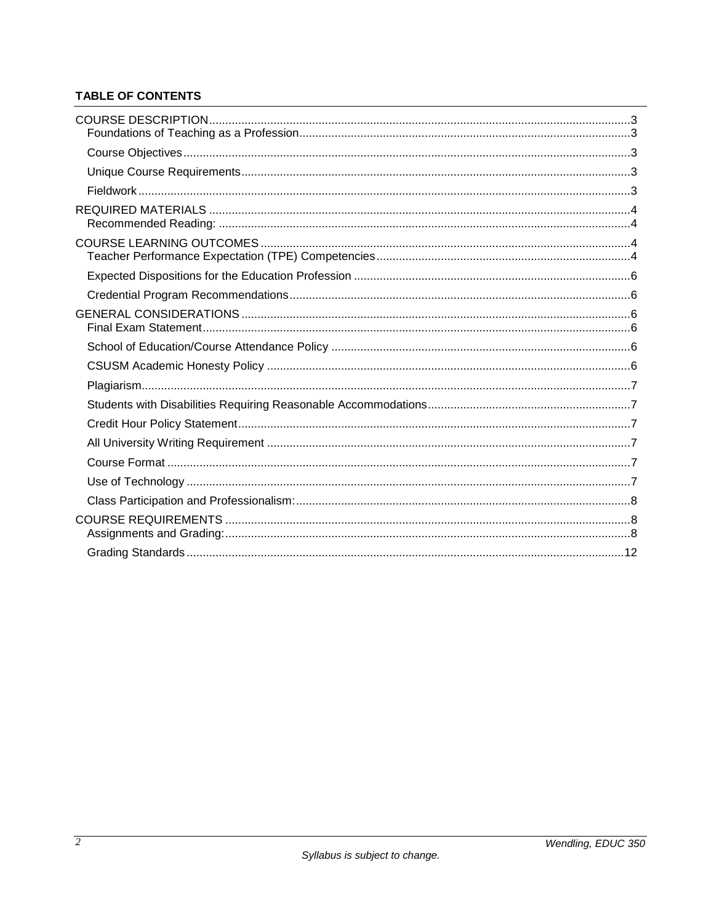# **TABLE OF CONTENTS**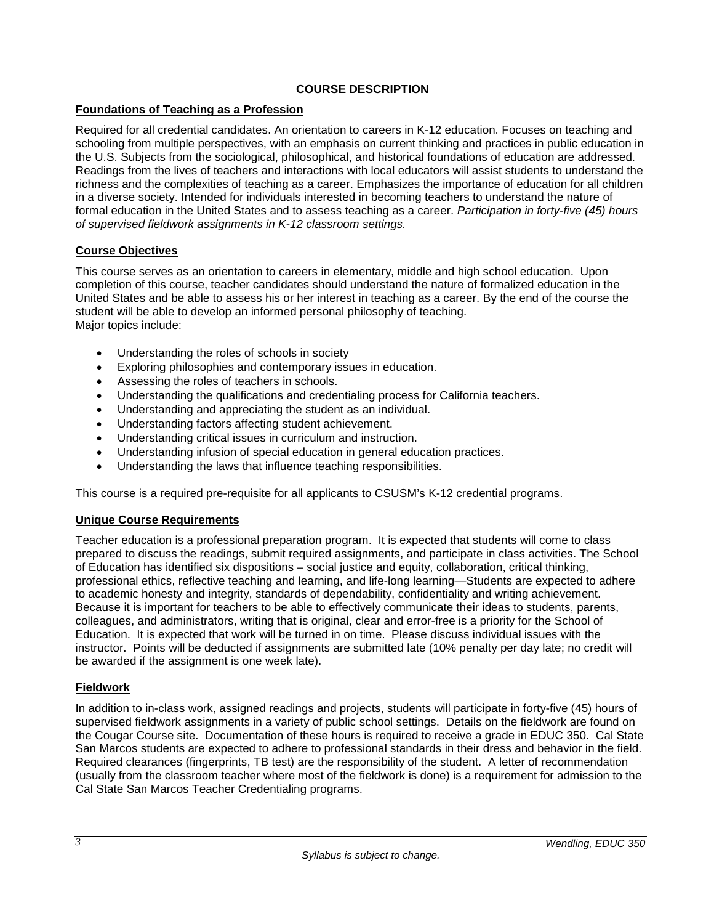# **COURSE DESCRIPTION**

# <span id="page-2-1"></span><span id="page-2-0"></span>**Foundations of Teaching as a Profession**

Required for all credential candidates. An orientation to careers in K-12 education. Focuses on teaching and schooling from multiple perspectives, with an emphasis on current thinking and practices in public education in the U.S. Subjects from the sociological, philosophical, and historical foundations of education are addressed. Readings from the lives of teachers and interactions with local educators will assist students to understand the richness and the complexities of teaching as a career. Emphasizes the importance of education for all children in a diverse society. Intended for individuals interested in becoming teachers to understand the nature of formal education in the United States and to assess teaching as a career. *Participation in forty-five (45) hours of supervised fieldwork assignments in K-12 classroom settings.*

## <span id="page-2-2"></span>**Course Objectives**

This course serves as an orientation to careers in elementary, middle and high school education. Upon completion of this course, teacher candidates should understand the nature of formalized education in the United States and be able to assess his or her interest in teaching as a career. By the end of the course the student will be able to develop an informed personal philosophy of teaching. Major topics include:

- Understanding the roles of schools in society
- Exploring philosophies and contemporary issues in education.
- Assessing the roles of teachers in schools.
- Understanding the qualifications and credentialing process for California teachers.
- Understanding and appreciating the student as an individual.
- Understanding factors affecting student achievement.
- Understanding critical issues in curriculum and instruction.
- Understanding infusion of special education in general education practices.
- Understanding the laws that influence teaching responsibilities.

This course is a required pre-requisite for all applicants to CSUSM's K-12 credential programs.

## <span id="page-2-3"></span>**Unique Course Requirements**

Teacher education is a professional preparation program. It is expected that students will come to class prepared to discuss the readings, submit required assignments, and participate in class activities. The School of Education has identified six dispositions – social justice and equity, collaboration, critical thinking, professional ethics, reflective teaching and learning, and life-long learning—Students are expected to adhere to academic honesty and integrity, standards of dependability, confidentiality and writing achievement. Because it is important for teachers to be able to effectively communicate their ideas to students, parents, colleagues, and administrators, writing that is original, clear and error-free is a priority for the School of Education. It is expected that work will be turned in on time. Please discuss individual issues with the instructor. Points will be deducted if assignments are submitted late (10% penalty per day late; no credit will be awarded if the assignment is one week late).

## <span id="page-2-4"></span>**Fieldwork**

In addition to in-class work, assigned readings and projects, students will participate in forty-five (45) hours of supervised fieldwork assignments in a variety of public school settings. Details on the fieldwork are found on the Cougar Course site. Documentation of these hours is required to receive a grade in EDUC 350. Cal State San Marcos students are expected to adhere to professional standards in their dress and behavior in the field. Required clearances (fingerprints, TB test) are the responsibility of the student. A letter of recommendation (usually from the classroom teacher where most of the fieldwork is done) is a requirement for admission to the Cal State San Marcos Teacher Credentialing programs.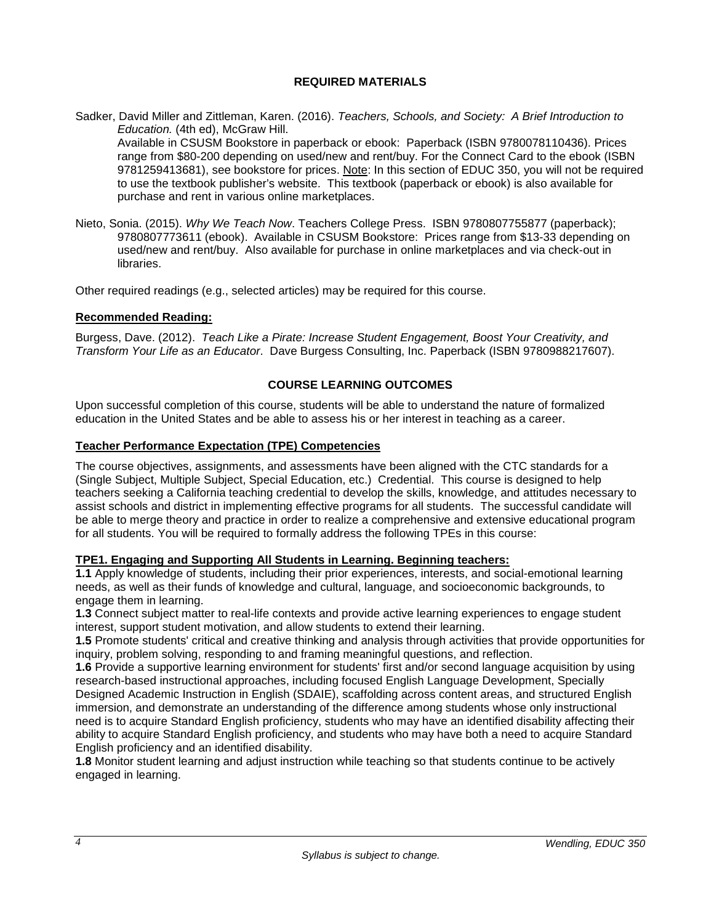# **REQUIRED MATERIALS**

<span id="page-3-0"></span>Sadker, David Miller and Zittleman, Karen. (2016). *Teachers, Schools, and Society: A Brief Introduction to Education.* (4th ed), McGraw Hill.

Available in CSUSM Bookstore in paperback or ebook: Paperback (ISBN 9780078110436). Prices range from \$80-200 depending on used/new and rent/buy. For the Connect Card to the ebook (ISBN 9781259413681), see bookstore for prices. Note: In this section of EDUC 350, you will not be required to use the textbook publisher's website. This textbook (paperback or ebook) is also available for purchase and rent in various online marketplaces.

Nieto, Sonia. (2015). *Why We Teach Now*. Teachers College Press. ISBN 9780807755877 (paperback); 9780807773611 (ebook). Available in CSUSM Bookstore: Prices range from \$13-33 depending on used/new and rent/buy. Also available for purchase in online marketplaces and via check-out in libraries.

Other required readings (e.g., selected articles) may be required for this course.

#### <span id="page-3-1"></span>**Recommended Reading:**

Burgess, Dave. (2012). *Teach Like a Pirate: Increase Student Engagement, Boost Your Creativity, and Transform Your Life as an Educator*. Dave Burgess Consulting, Inc. Paperback (ISBN 9780988217607).

## **COURSE LEARNING OUTCOMES**

<span id="page-3-2"></span>Upon successful completion of this course, students will be able to understand the nature of formalized education in the United States and be able to assess his or her interest in teaching as a career.

## <span id="page-3-3"></span>**Teacher Performance Expectation (TPE) Competencies**

The course objectives, assignments, and assessments have been aligned with the CTC standards for a (Single Subject, Multiple Subject, Special Education, etc.) Credential. This course is designed to help teachers seeking a California teaching credential to develop the skills, knowledge, and attitudes necessary to assist schools and district in implementing effective programs for all students. The successful candidate will be able to merge theory and practice in order to realize a comprehensive and extensive educational program for all students. You will be required to formally address the following TPEs in this course:

## **TPE1. Engaging and Supporting All Students in Learning. Beginning teachers:**

**1.1** Apply knowledge of students, including their prior experiences, interests, and social-emotional learning needs, as well as their funds of knowledge and cultural, language, and socioeconomic backgrounds, to engage them in learning.

**1.3** Connect subject matter to real-life contexts and provide active learning experiences to engage student interest, support student motivation, and allow students to extend their learning.

**1.5** Promote students' critical and creative thinking and analysis through activities that provide opportunities for inquiry, problem solving, responding to and framing meaningful questions, and reflection.

**1.6** Provide a supportive learning environment for students' first and/or second language acquisition by using research-based instructional approaches, including focused English Language Development, Specially Designed Academic Instruction in English (SDAIE), scaffolding across content areas, and structured English immersion, and demonstrate an understanding of the difference among students whose only instructional need is to acquire Standard English proficiency, students who may have an identified disability affecting their ability to acquire Standard English proficiency, and students who may have both a need to acquire Standard English proficiency and an identified disability.

**1.8** Monitor student learning and adjust instruction while teaching so that students continue to be actively engaged in learning.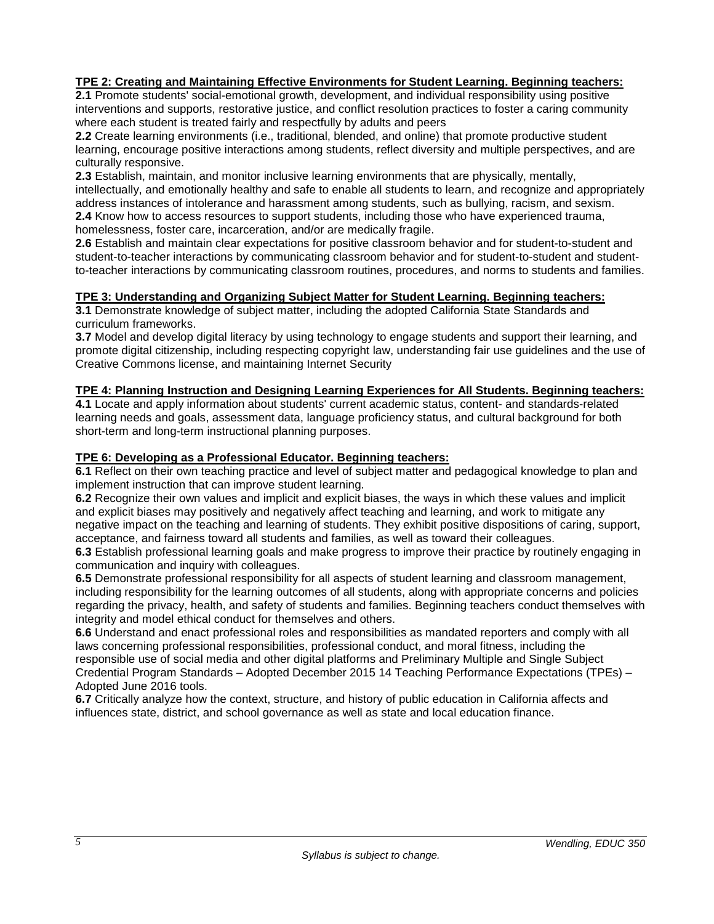# **TPE 2: Creating and Maintaining Effective Environments for Student Learning. Beginning teachers:**

**2.1** Promote students' social-emotional growth, development, and individual responsibility using positive interventions and supports, restorative justice, and conflict resolution practices to foster a caring community where each student is treated fairly and respectfully by adults and peers

**2.2** Create learning environments (i.e., traditional, blended, and online) that promote productive student learning, encourage positive interactions among students, reflect diversity and multiple perspectives, and are culturally responsive.

**2.3** Establish, maintain, and monitor inclusive learning environments that are physically, mentally, intellectually, and emotionally healthy and safe to enable all students to learn, and recognize and appropriately address instances of intolerance and harassment among students, such as bullying, racism, and sexism. **2.4** Know how to access resources to support students, including those who have experienced trauma, homelessness, foster care, incarceration, and/or are medically fragile.

**2.6** Establish and maintain clear expectations for positive classroom behavior and for student-to-student and student-to-teacher interactions by communicating classroom behavior and for student-to-student and studentto-teacher interactions by communicating classroom routines, procedures, and norms to students and families.

#### **TPE 3: Understanding and Organizing Subject Matter for Student Learning. Beginning teachers:**

**3.1** Demonstrate knowledge of subject matter, including the adopted California State Standards and curriculum frameworks.

**3.7** Model and develop digital literacy by using technology to engage students and support their learning, and promote digital citizenship, including respecting copyright law, understanding fair use guidelines and the use of Creative Commons license, and maintaining Internet Security

## **TPE 4: Planning Instruction and Designing Learning Experiences for All Students. Beginning teachers:**

**4.1** Locate and apply information about students' current academic status, content- and standards-related learning needs and goals, assessment data, language proficiency status, and cultural background for both short-term and long-term instructional planning purposes.

#### **TPE 6: Developing as a Professional Educator. Beginning teachers:**

**6.1** Reflect on their own teaching practice and level of subject matter and pedagogical knowledge to plan and implement instruction that can improve student learning.

**6.2** Recognize their own values and implicit and explicit biases, the ways in which these values and implicit and explicit biases may positively and negatively affect teaching and learning, and work to mitigate any negative impact on the teaching and learning of students. They exhibit positive dispositions of caring, support, acceptance, and fairness toward all students and families, as well as toward their colleagues.

**6.3** Establish professional learning goals and make progress to improve their practice by routinely engaging in communication and inquiry with colleagues.

**6.5** Demonstrate professional responsibility for all aspects of student learning and classroom management, including responsibility for the learning outcomes of all students, along with appropriate concerns and policies regarding the privacy, health, and safety of students and families. Beginning teachers conduct themselves with integrity and model ethical conduct for themselves and others.

**6.6** Understand and enact professional roles and responsibilities as mandated reporters and comply with all laws concerning professional responsibilities, professional conduct, and moral fitness, including the responsible use of social media and other digital platforms and Preliminary Multiple and Single Subject Credential Program Standards – Adopted December 2015 14 Teaching Performance Expectations (TPEs) – Adopted June 2016 tools.

**6.7** Critically analyze how the context, structure, and history of public education in California affects and influences state, district, and school governance as well as state and local education finance.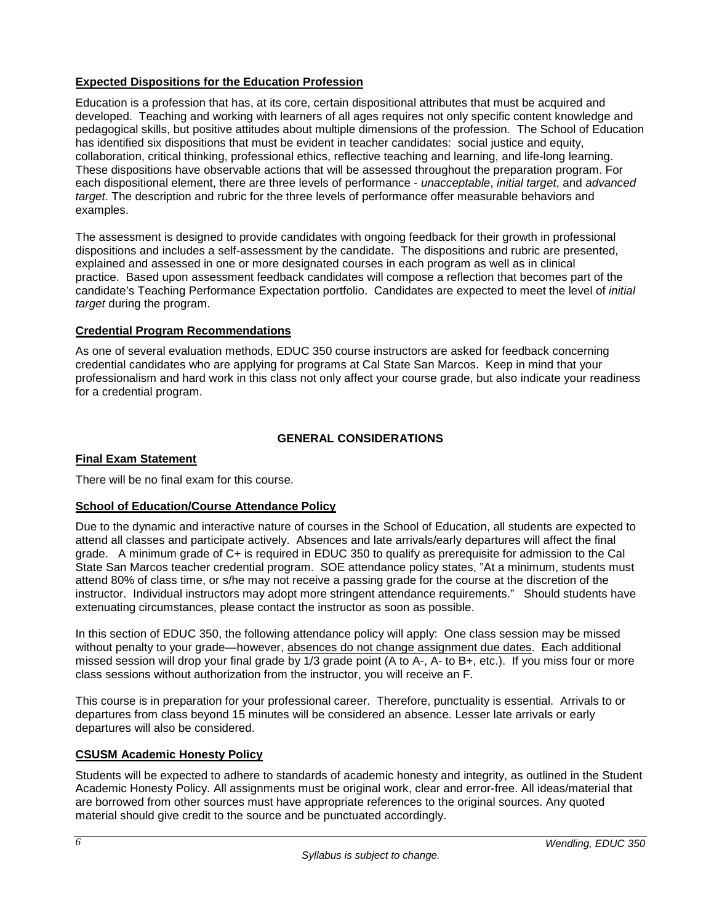# <span id="page-5-0"></span>**Expected Dispositions for the Education Profession**

Education is a profession that has, at its core, certain dispositional attributes that must be acquired and developed. Teaching and working with learners of all ages requires not only specific content knowledge and pedagogical skills, but positive attitudes about multiple dimensions of the profession. The School of Education has identified six dispositions that must be evident in teacher candidates: social justice and equity, collaboration, critical thinking, professional ethics, reflective teaching and learning, and life-long learning. These dispositions have observable actions that will be assessed throughout the preparation program. For each dispositional element, there are three levels of performance - *unacceptable*, *initial target*, and *advanced target*. The description and rubric for the three levels of performance offer measurable behaviors and examples.

The assessment is designed to provide candidates with ongoing feedback for their growth in professional dispositions and includes a self-assessment by the candidate. The dispositions and rubric are presented, explained and assessed in one or more designated courses in each program as well as in clinical practice. Based upon assessment feedback candidates will compose a reflection that becomes part of the candidate's Teaching Performance Expectation portfolio. Candidates are expected to meet the level of *initial target* during the program.

## <span id="page-5-1"></span>**Credential Program Recommendations**

As one of several evaluation methods, EDUC 350 course instructors are asked for feedback concerning credential candidates who are applying for programs at Cal State San Marcos. Keep in mind that your professionalism and hard work in this class not only affect your course grade, but also indicate your readiness for a credential program.

# **GENERAL CONSIDERATIONS**

# <span id="page-5-3"></span><span id="page-5-2"></span>**Final Exam Statement**

There will be no final exam for this course.

## <span id="page-5-4"></span>**School of Education/Course Attendance Policy**

Due to the dynamic and interactive nature of courses in the School of Education, all students are expected to attend all classes and participate actively. Absences and late arrivals/early departures will affect the final grade. A minimum grade of C+ is required in EDUC 350 to qualify as prerequisite for admission to the Cal State San Marcos teacher credential program. SOE attendance policy states, "At a minimum, students must attend 80% of class time, or s/he may not receive a passing grade for the course at the discretion of the instructor. Individual instructors may adopt more stringent attendance requirements." Should students have extenuating circumstances, please contact the instructor as soon as possible.

In this section of EDUC 350, the following attendance policy will apply: One class session may be missed without penalty to your grade—however, absences do not change assignment due dates. Each additional missed session will drop your final grade by 1/3 grade point (A to A-, A- to B+, etc.). If you miss four or more class sessions without authorization from the instructor, you will receive an F.

This course is in preparation for your professional career. Therefore, punctuality is essential. Arrivals to or departures from class beyond 15 minutes will be considered an absence. Lesser late arrivals or early departures will also be considered.

# <span id="page-5-5"></span>**CSUSM Academic Honesty Policy**

Students will be expected to adhere to standards of academic honesty and integrity, as outlined in the Student Academic Honesty Policy. All assignments must be original work, clear and error-free. All ideas/material that are borrowed from other sources must have appropriate references to the original sources. Any quoted material should give credit to the source and be punctuated accordingly.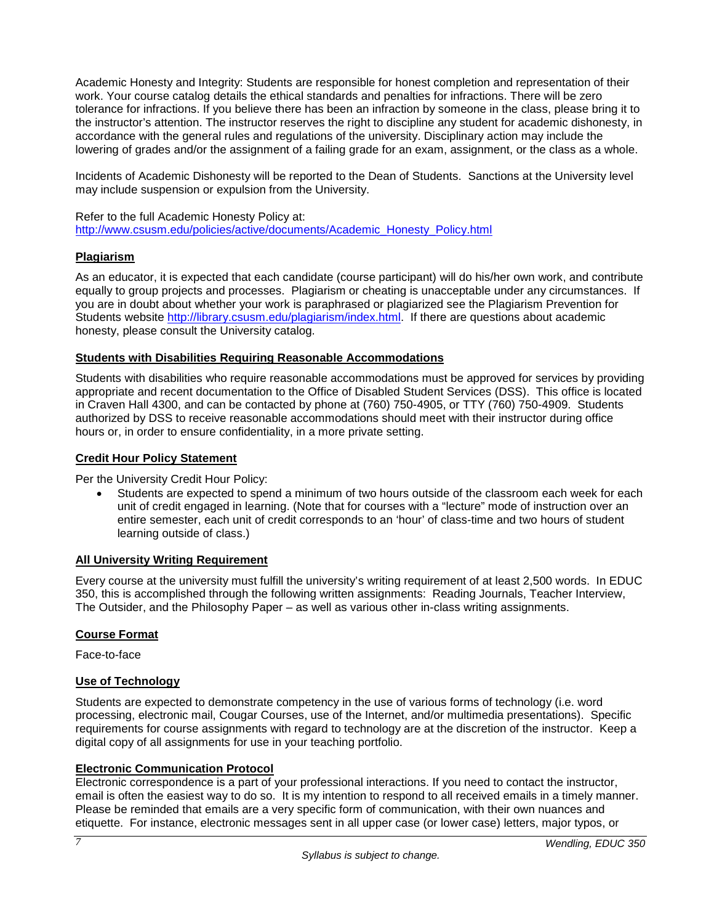Academic Honesty and Integrity: Students are responsible for honest completion and representation of their work. Your course catalog details the ethical standards and penalties for infractions. There will be zero tolerance for infractions. If you believe there has been an infraction by someone in the class, please bring it to the instructor's attention. The instructor reserves the right to discipline any student for academic dishonesty, in accordance with the general rules and regulations of the university. Disciplinary action may include the lowering of grades and/or the assignment of a failing grade for an exam, assignment, or the class as a whole.

Incidents of Academic Dishonesty will be reported to the Dean of Students. Sanctions at the University level may include suspension or expulsion from the University.

Refer to the full Academic Honesty Policy at: [http://www.csusm.edu/policies/active/documents/Academic\\_Honesty\\_Policy.html](http://www.csusm.edu/policies/active/documents/Academic_Honesty_Policy.html)

## <span id="page-6-0"></span>**Plagiarism**

As an educator, it is expected that each candidate (course participant) will do his/her own work, and contribute equally to group projects and processes. Plagiarism or cheating is unacceptable under any circumstances. If you are in doubt about whether your work is paraphrased or plagiarized see the Plagiarism Prevention for Students website [http://library.csusm.edu/plagiarism/index.html.](http://library.csusm.edu/plagiarism/index.html) If there are questions about academic honesty, please consult the University catalog.

#### <span id="page-6-1"></span>**Students with Disabilities Requiring Reasonable Accommodations**

Students with disabilities who require reasonable accommodations must be approved for services by providing appropriate and recent documentation to the Office of Disabled Student Services (DSS). This office is located in Craven Hall 4300, and can be contacted by phone at (760) 750-4905, or TTY (760) 750-4909. Students authorized by DSS to receive reasonable accommodations should meet with their instructor during office hours or, in order to ensure confidentiality, in a more private setting.

#### <span id="page-6-2"></span>**Credit Hour Policy Statement**

Per the University Credit Hour Policy:

• Students are expected to spend a minimum of two hours outside of the classroom each week for each unit of credit engaged in learning. (Note that for courses with a "lecture" mode of instruction over an entire semester, each unit of credit corresponds to an 'hour' of class-time and two hours of student learning outside of class.)

#### <span id="page-6-3"></span>**All University Writing Requirement**

Every course at the university must fulfill the university's writing requirement of at least 2,500 words. In EDUC 350, this is accomplished through the following written assignments: Reading Journals, Teacher Interview, The Outsider, and the Philosophy Paper – as well as various other in-class writing assignments.

## <span id="page-6-4"></span>**Course Format**

Face-to-face

## <span id="page-6-5"></span>**Use of Technology**

Students are expected to demonstrate competency in the use of various forms of technology (i.e. word processing, electronic mail, Cougar Courses, use of the Internet, and/or multimedia presentations). Specific requirements for course assignments with regard to technology are at the discretion of the instructor. Keep a digital copy of all assignments for use in your teaching portfolio.

## **Electronic Communication Protocol**

Electronic correspondence is a part of your professional interactions. If you need to contact the instructor, email is often the easiest way to do so. It is my intention to respond to all received emails in a timely manner. Please be reminded that emails are a very specific form of communication, with their own nuances and etiquette. For instance, electronic messages sent in all upper case (or lower case) letters, major typos, or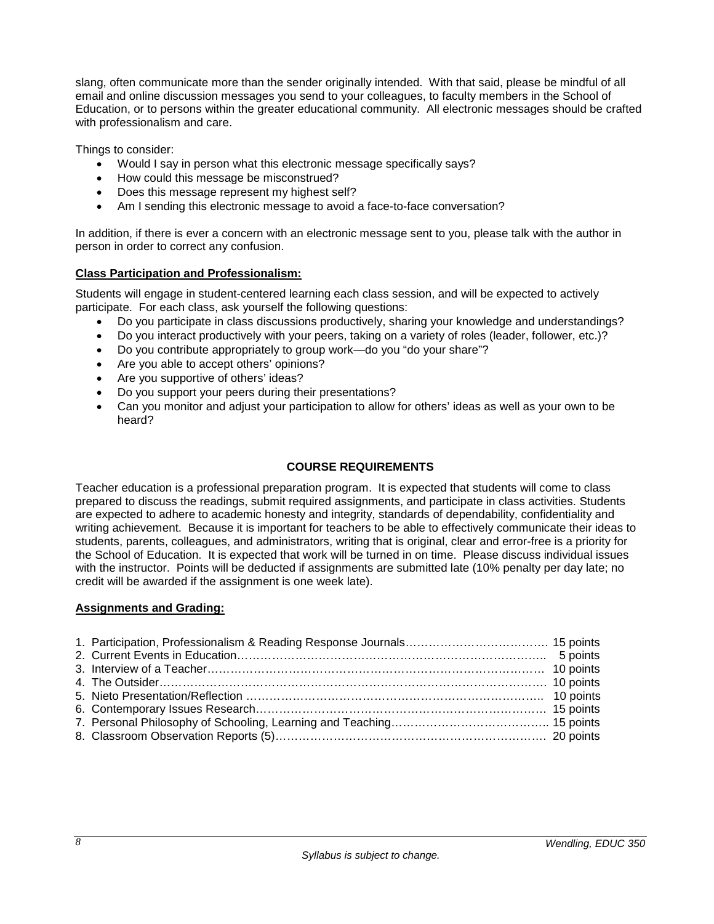slang, often communicate more than the sender originally intended. With that said, please be mindful of all email and online discussion messages you send to your colleagues, to faculty members in the School of Education, or to persons within the greater educational community. All electronic messages should be crafted with professionalism and care.

Things to consider:

- Would I say in person what this electronic message specifically says?
- How could this message be misconstrued?
- Does this message represent my highest self?
- Am I sending this electronic message to avoid a face-to-face conversation?

In addition, if there is ever a concern with an electronic message sent to you, please talk with the author in person in order to correct any confusion.

#### <span id="page-7-0"></span>**Class Participation and Professionalism:**

Students will engage in student-centered learning each class session, and will be expected to actively participate. For each class, ask yourself the following questions:

- Do you participate in class discussions productively, sharing your knowledge and understandings?
- Do you interact productively with your peers, taking on a variety of roles (leader, follower, etc.)?
- Do you contribute appropriately to group work—do you "do your share"?
- Are you able to accept others' opinions?
- Are you supportive of others' ideas?
- Do you support your peers during their presentations?
- Can you monitor and adjust your participation to allow for others' ideas as well as your own to be heard?

#### **COURSE REQUIREMENTS**

<span id="page-7-1"></span>Teacher education is a professional preparation program. It is expected that students will come to class prepared to discuss the readings, submit required assignments, and participate in class activities. Students are expected to adhere to academic honesty and integrity, standards of dependability, confidentiality and writing achievement. Because it is important for teachers to be able to effectively communicate their ideas to students, parents, colleagues, and administrators, writing that is original, clear and error-free is a priority for the School of Education. It is expected that work will be turned in on time. Please discuss individual issues with the instructor. Points will be deducted if assignments are submitted late (10% penalty per day late; no credit will be awarded if the assignment is one week late).

#### <span id="page-7-2"></span>**Assignments and Grading:**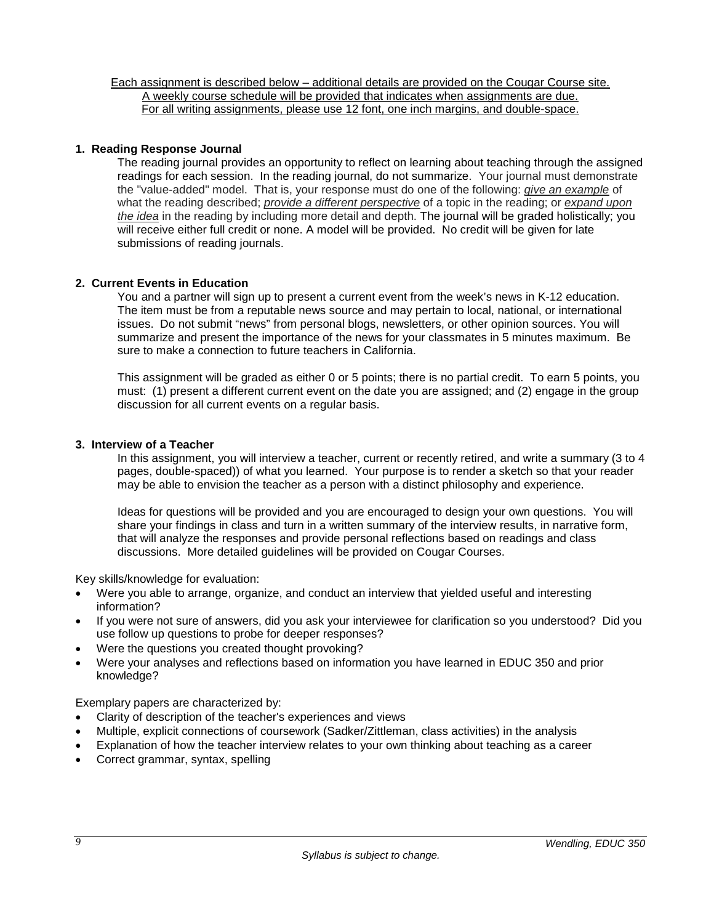Each assignment is described below – additional details are provided on the Cougar Course site. A weekly course schedule will be provided that indicates when assignments are due. For all writing assignments, please use 12 font, one inch margins, and double-space.

#### **1. Reading Response Journal**

The reading journal provides an opportunity to reflect on learning about teaching through the assigned readings for each session. In the reading journal, do not summarize. Your journal must demonstrate the "value-added" model. That is, your response must do one of the following: *give an example* of what the reading described; *provide a different perspective* of a topic in the reading; or *expand upon the idea* in the reading by including more detail and depth. The journal will be graded holistically; you will receive either full credit or none. A model will be provided. No credit will be given for late submissions of reading journals.

#### **2. Current Events in Education**

You and a partner will sign up to present a current event from the week's news in K-12 education. The item must be from a reputable news source and may pertain to local, national, or international issues. Do not submit "news" from personal blogs, newsletters, or other opinion sources. You will summarize and present the importance of the news for your classmates in 5 minutes maximum. Be sure to make a connection to future teachers in California.

This assignment will be graded as either 0 or 5 points; there is no partial credit. To earn 5 points, you must: (1) present a different current event on the date you are assigned; and (2) engage in the group discussion for all current events on a regular basis.

#### **3. Interview of a Teacher**

In this assignment, you will interview a teacher, current or recently retired, and write a summary (3 to 4 pages, double-spaced)) of what you learned. Your purpose is to render a sketch so that your reader may be able to envision the teacher as a person with a distinct philosophy and experience.

Ideas for questions will be provided and you are encouraged to design your own questions. You will share your findings in class and turn in a written summary of the interview results, in narrative form, that will analyze the responses and provide personal reflections based on readings and class discussions. More detailed guidelines will be provided on Cougar Courses.

Key skills/knowledge for evaluation:

- Were you able to arrange, organize, and conduct an interview that yielded useful and interesting information?
- If you were not sure of answers, did you ask your interviewee for clarification so you understood? Did you use follow up questions to probe for deeper responses?
- Were the questions you created thought provoking?
- Were your analyses and reflections based on information you have learned in EDUC 350 and prior knowledge?

Exemplary papers are characterized by:

- Clarity of description of the teacher's experiences and views
- Multiple, explicit connections of coursework (Sadker/Zittleman, class activities) in the analysis
- Explanation of how the teacher interview relates to your own thinking about teaching as a career
- Correct grammar, syntax, spelling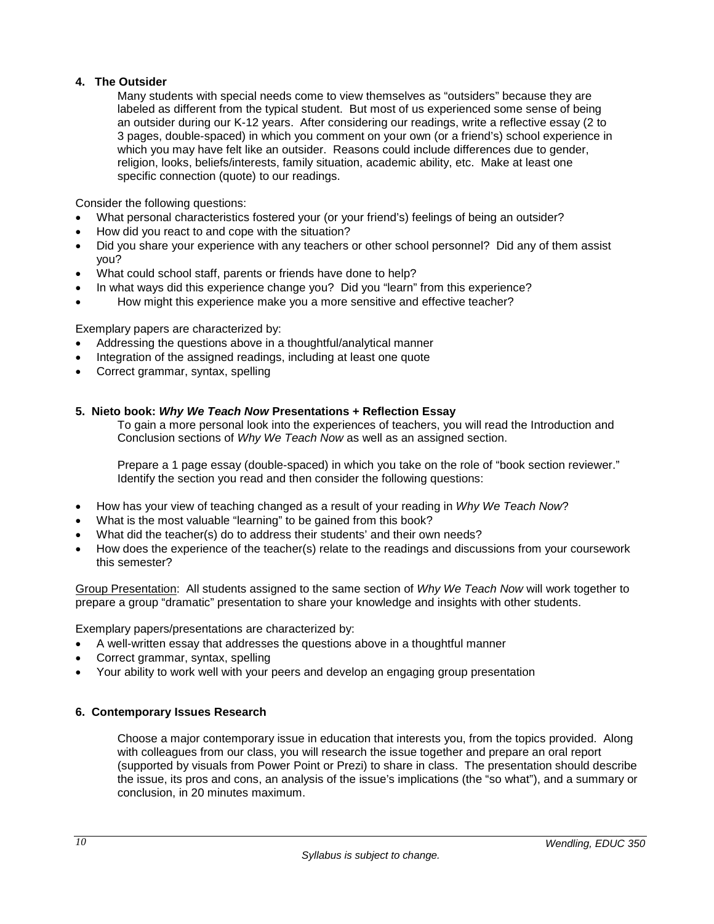# **4. The Outsider**

Many students with special needs come to view themselves as "outsiders" because they are labeled as different from the typical student. But most of us experienced some sense of being an outsider during our K-12 years. After considering our readings, write a reflective essay (2 to 3 pages, double-spaced) in which you comment on your own (or a friend's) school experience in which you may have felt like an outsider. Reasons could include differences due to gender, religion, looks, beliefs/interests, family situation, academic ability, etc. Make at least one specific connection (quote) to our readings.

Consider the following questions:

- What personal characteristics fostered your (or your friend's) feelings of being an outsider?
- How did you react to and cope with the situation?
- Did you share your experience with any teachers or other school personnel? Did any of them assist you?
- What could school staff, parents or friends have done to help?
- In what ways did this experience change you? Did you "learn" from this experience?
- How might this experience make you a more sensitive and effective teacher?

Exemplary papers are characterized by:

- Addressing the questions above in a thoughtful/analytical manner
- Integration of the assigned readings, including at least one quote
- Correct grammar, syntax, spelling

# **5. Nieto book:** *Why We Teach Now* **Presentations + Reflection Essay**

To gain a more personal look into the experiences of teachers, you will read the Introduction and Conclusion sections of *Why We Teach Now* as well as an assigned section.

Prepare a 1 page essay (double-spaced) in which you take on the role of "book section reviewer." Identify the section you read and then consider the following questions:

- How has your view of teaching changed as a result of your reading in *Why We Teach Now*?
- What is the most valuable "learning" to be gained from this book?
- What did the teacher(s) do to address their students' and their own needs?
- How does the experience of the teacher(s) relate to the readings and discussions from your coursework this semester?

Group Presentation: All students assigned to the same section of *Why We Teach Now* will work together to prepare a group "dramatic" presentation to share your knowledge and insights with other students.

Exemplary papers/presentations are characterized by:

- A well-written essay that addresses the questions above in a thoughtful manner
- Correct grammar, syntax, spelling
- Your ability to work well with your peers and develop an engaging group presentation

## **6. Contemporary Issues Research**

Choose a major contemporary issue in education that interests you, from the topics provided. Along with colleagues from our class, you will research the issue together and prepare an oral report (supported by visuals from Power Point or Prezi) to share in class. The presentation should describe the issue, its pros and cons, an analysis of the issue's implications (the "so what"), and a summary or conclusion, in 20 minutes maximum.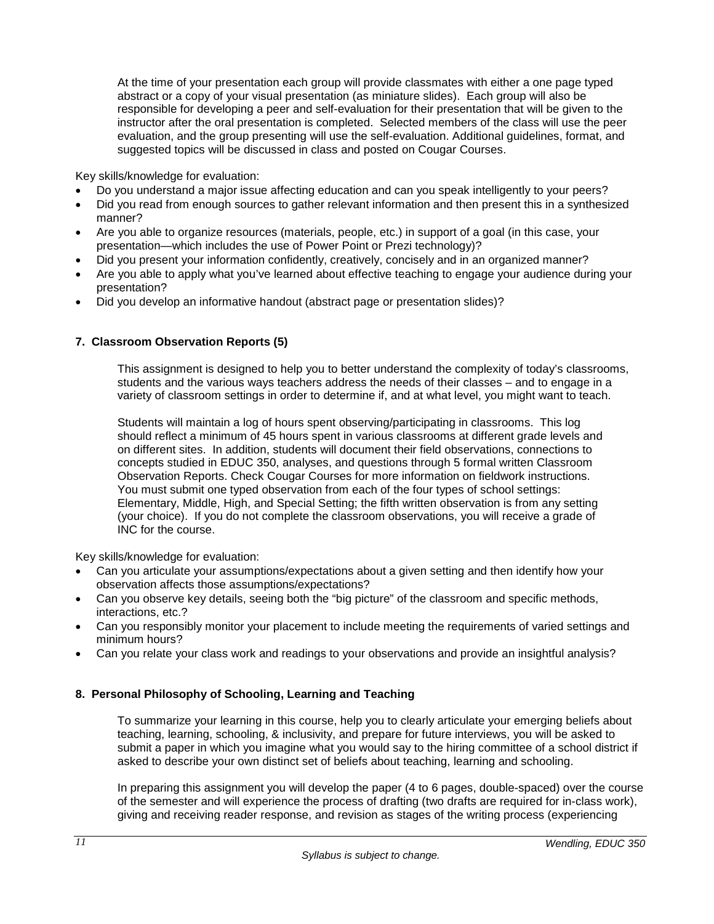At the time of your presentation each group will provide classmates with either a one page typed abstract or a copy of your visual presentation (as miniature slides). Each group will also be responsible for developing a peer and self-evaluation for their presentation that will be given to the instructor after the oral presentation is completed. Selected members of the class will use the peer evaluation, and the group presenting will use the self-evaluation. Additional guidelines, format, and suggested topics will be discussed in class and posted on Cougar Courses.

Key skills/knowledge for evaluation:

- Do you understand a major issue affecting education and can you speak intelligently to your peers?
- Did you read from enough sources to gather relevant information and then present this in a synthesized manner?
- Are you able to organize resources (materials, people, etc.) in support of a goal (in this case, your presentation—which includes the use of Power Point or Prezi technology)?
- Did you present your information confidently, creatively, concisely and in an organized manner?
- Are you able to apply what you've learned about effective teaching to engage your audience during your presentation?
- Did you develop an informative handout (abstract page or presentation slides)?

# **7. Classroom Observation Reports (5)**

This assignment is designed to help you to better understand the complexity of today's classrooms, students and the various ways teachers address the needs of their classes – and to engage in a variety of classroom settings in order to determine if, and at what level, you might want to teach.

Students will maintain a log of hours spent observing/participating in classrooms. This log should reflect a minimum of 45 hours spent in various classrooms at different grade levels and on different sites. In addition, students will document their field observations, connections to concepts studied in EDUC 350, analyses, and questions through 5 formal written Classroom Observation Reports. Check Cougar Courses for more information on fieldwork instructions. You must submit one typed observation from each of the four types of school settings: Elementary, Middle, High, and Special Setting; the fifth written observation is from any setting (your choice). If you do not complete the classroom observations, you will receive a grade of INC for the course.

Key skills/knowledge for evaluation:

- Can you articulate your assumptions/expectations about a given setting and then identify how your observation affects those assumptions/expectations?
- Can you observe key details, seeing both the "big picture" of the classroom and specific methods, interactions, etc.?
- Can you responsibly monitor your placement to include meeting the requirements of varied settings and minimum hours?
- Can you relate your class work and readings to your observations and provide an insightful analysis?

# **8. Personal Philosophy of Schooling, Learning and Teaching**

To summarize your learning in this course, help you to clearly articulate your emerging beliefs about teaching, learning, schooling, & inclusivity, and prepare for future interviews, you will be asked to submit a paper in which you imagine what you would say to the hiring committee of a school district if asked to describe your own distinct set of beliefs about teaching, learning and schooling.

In preparing this assignment you will develop the paper (4 to 6 pages, double-spaced) over the course of the semester and will experience the process of drafting (two drafts are required for in-class work), giving and receiving reader response, and revision as stages of the writing process (experiencing